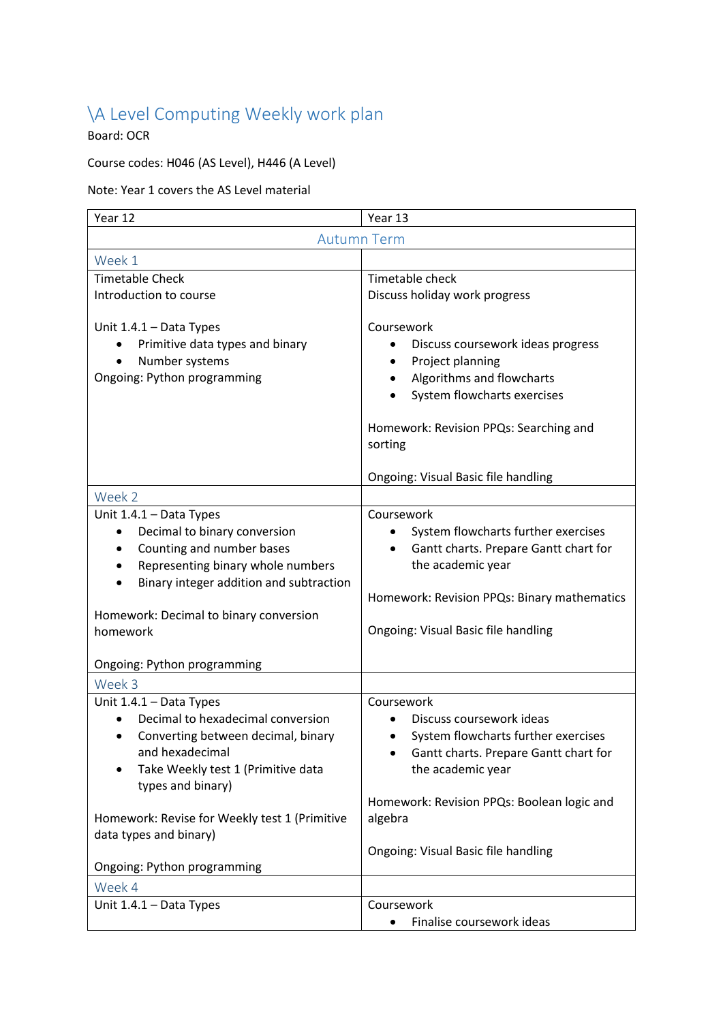## \A Level Computing Weekly work plan

Board: OCR

## Course codes: H046 (AS Level), H446 (A Level)

## Note: Year 1 covers the AS Level material

| Year 12                                                                                                                                                                                                                                                             | Year 13                                                                                                                                                                                                                                     |  |
|---------------------------------------------------------------------------------------------------------------------------------------------------------------------------------------------------------------------------------------------------------------------|---------------------------------------------------------------------------------------------------------------------------------------------------------------------------------------------------------------------------------------------|--|
|                                                                                                                                                                                                                                                                     | <b>Autumn Term</b>                                                                                                                                                                                                                          |  |
| Week 1                                                                                                                                                                                                                                                              |                                                                                                                                                                                                                                             |  |
| <b>Timetable Check</b>                                                                                                                                                                                                                                              | Timetable check                                                                                                                                                                                                                             |  |
| Introduction to course                                                                                                                                                                                                                                              | Discuss holiday work progress                                                                                                                                                                                                               |  |
| Unit $1.4.1 - Data Types$<br>Primitive data types and binary<br>Number systems<br>Ongoing: Python programming                                                                                                                                                       | Coursework<br>Discuss coursework ideas progress<br>Project planning<br>Algorithms and flowcharts<br>System flowcharts exercises<br>Homework: Revision PPQs: Searching and<br>sorting                                                        |  |
|                                                                                                                                                                                                                                                                     | Ongoing: Visual Basic file handling                                                                                                                                                                                                         |  |
| Week 2<br>Unit 1.4.1 - Data Types<br>Decimal to binary conversion<br>Counting and number bases<br>Representing binary whole numbers<br>Binary integer addition and subtraction<br>Homework: Decimal to binary conversion<br>homework<br>Ongoing: Python programming | Coursework<br>System flowcharts further exercises<br>Gantt charts. Prepare Gantt chart for<br>$\bullet$<br>the academic year<br>Homework: Revision PPQs: Binary mathematics<br>Ongoing: Visual Basic file handling                          |  |
| Week 3                                                                                                                                                                                                                                                              |                                                                                                                                                                                                                                             |  |
| Unit 1.4.1 - Data Types<br>Decimal to hexadecimal conversion<br>Converting between decimal, binary<br>and hexadecimal<br>Take Weekly test 1 (Primitive data<br>types and binary)<br>Homework: Revise for Weekly test 1 (Primitive<br>data types and binary)         | Coursework<br>Discuss coursework ideas<br>System flowcharts further exercises<br>Gantt charts. Prepare Gantt chart for<br>the academic year<br>Homework: Revision PPQs: Boolean logic and<br>algebra<br>Ongoing: Visual Basic file handling |  |
| Ongoing: Python programming                                                                                                                                                                                                                                         |                                                                                                                                                                                                                                             |  |
| Week 4                                                                                                                                                                                                                                                              |                                                                                                                                                                                                                                             |  |
| Unit 1.4.1 - Data Types                                                                                                                                                                                                                                             | Coursework<br>Finalise coursework ideas                                                                                                                                                                                                     |  |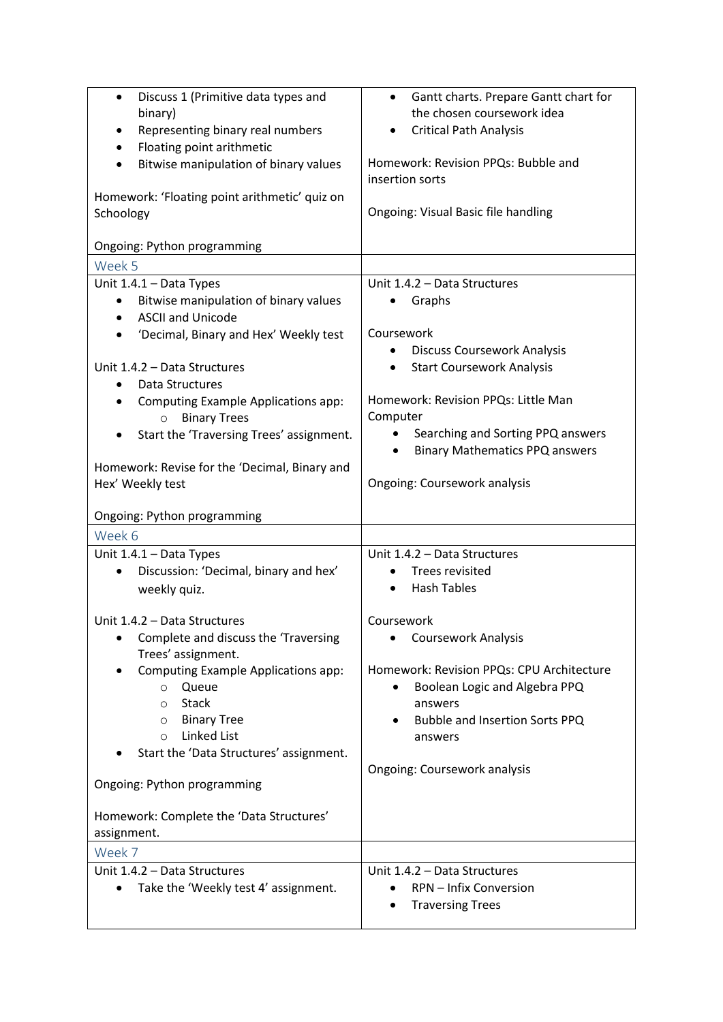| Discuss 1 (Primitive data types and<br>$\bullet$<br>binary)<br>Representing binary real numbers<br>$\bullet$<br>Floating point arithmetic<br>$\bullet$<br>Bitwise manipulation of binary values<br>Homework: 'Floating point arithmetic' quiz on<br>Schoology                                                                                                               | Gantt charts. Prepare Gantt chart for<br>$\bullet$<br>the chosen coursework idea<br><b>Critical Path Analysis</b><br>Homework: Revision PPQs: Bubble and<br>insertion sorts<br>Ongoing: Visual Basic file handling                                                                                     |
|-----------------------------------------------------------------------------------------------------------------------------------------------------------------------------------------------------------------------------------------------------------------------------------------------------------------------------------------------------------------------------|--------------------------------------------------------------------------------------------------------------------------------------------------------------------------------------------------------------------------------------------------------------------------------------------------------|
| Ongoing: Python programming                                                                                                                                                                                                                                                                                                                                                 |                                                                                                                                                                                                                                                                                                        |
| Week 5                                                                                                                                                                                                                                                                                                                                                                      |                                                                                                                                                                                                                                                                                                        |
| Unit 1.4.1 - Data Types<br>Bitwise manipulation of binary values<br><b>ASCII and Unicode</b><br>'Decimal, Binary and Hex' Weekly test<br>Unit 1.4.2 - Data Structures<br>Data Structures<br>$\bullet$<br>Computing Example Applications app:<br><b>Binary Trees</b><br>$\circ$<br>Start the 'Traversing Trees' assignment.<br>Homework: Revise for the 'Decimal, Binary and | Unit 1.4.2 - Data Structures<br>Graphs<br>Coursework<br><b>Discuss Coursework Analysis</b><br><b>Start Coursework Analysis</b><br>$\bullet$<br>Homework: Revision PPQs: Little Man<br>Computer<br>Searching and Sorting PPQ answers<br>$\bullet$<br><b>Binary Mathematics PPQ answers</b><br>$\bullet$ |
| Hex' Weekly test                                                                                                                                                                                                                                                                                                                                                            | Ongoing: Coursework analysis                                                                                                                                                                                                                                                                           |
| Ongoing: Python programming                                                                                                                                                                                                                                                                                                                                                 |                                                                                                                                                                                                                                                                                                        |
| Week 6                                                                                                                                                                                                                                                                                                                                                                      |                                                                                                                                                                                                                                                                                                        |
| Unit 1.4.1 - Data Types<br>Discussion: 'Decimal, binary and hex'<br>$\bullet$<br>weekly quiz.                                                                                                                                                                                                                                                                               | Unit 1.4.2 - Data Structures<br><b>Trees revisited</b><br><b>Hash Tables</b>                                                                                                                                                                                                                           |
| Unit 1.4.2 - Data Structures<br>Complete and discuss the 'Traversing<br>$\bullet$<br>Trees' assignment.<br>Computing Example Applications app:<br>Queue<br>$\circ$<br><b>Stack</b><br>$\Omega$<br><b>Binary Tree</b><br>O<br><b>Linked List</b><br>$\circ$<br>Start the 'Data Structures' assignment.<br>Ongoing: Python programming                                        | Coursework<br><b>Coursework Analysis</b><br>Homework: Revision PPQs: CPU Architecture<br>Boolean Logic and Algebra PPQ<br>$\bullet$<br>answers<br>Bubble and Insertion Sorts PPQ<br>answers<br>Ongoing: Coursework analysis                                                                            |
| Homework: Complete the 'Data Structures'<br>assignment.                                                                                                                                                                                                                                                                                                                     |                                                                                                                                                                                                                                                                                                        |
| Week 7                                                                                                                                                                                                                                                                                                                                                                      |                                                                                                                                                                                                                                                                                                        |
| Unit 1.4.2 - Data Structures<br>Take the 'Weekly test 4' assignment.                                                                                                                                                                                                                                                                                                        | Unit 1.4.2 - Data Structures<br>RPN - Infix Conversion<br><b>Traversing Trees</b>                                                                                                                                                                                                                      |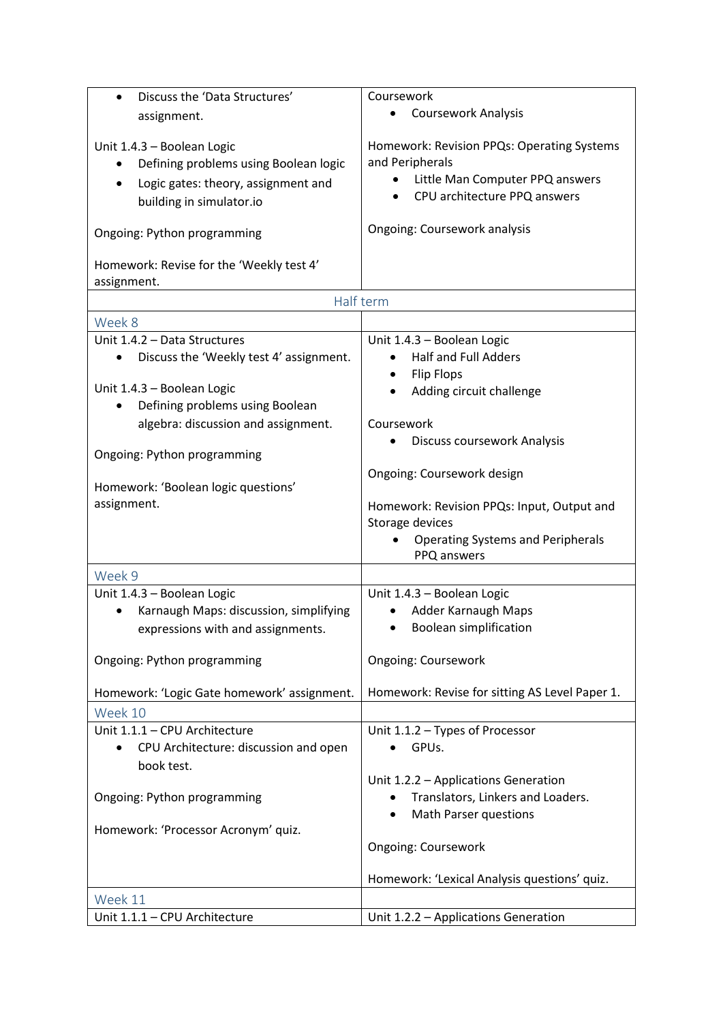| Discuss the 'Data Structures'<br>$\bullet$         | Coursework                                     |
|----------------------------------------------------|------------------------------------------------|
| assignment.                                        | <b>Coursework Analysis</b>                     |
|                                                    |                                                |
| Unit 1.4.3 - Boolean Logic                         | Homework: Revision PPQs: Operating Systems     |
| Defining problems using Boolean logic              | and Peripherals                                |
| Logic gates: theory, assignment and<br>$\bullet$   | Little Man Computer PPQ answers                |
| building in simulator.io                           | CPU architecture PPQ answers                   |
|                                                    |                                                |
| Ongoing: Python programming                        | Ongoing: Coursework analysis                   |
| Homework: Revise for the 'Weekly test 4'           |                                                |
| assignment.                                        |                                                |
|                                                    | Half term                                      |
| Week 8                                             |                                                |
| Unit 1.4.2 - Data Structures                       | Unit 1.4.3 - Boolean Logic                     |
| Discuss the 'Weekly test 4' assignment.            | <b>Half and Full Adders</b>                    |
|                                                    | <b>Flip Flops</b><br>$\bullet$                 |
| Unit 1.4.3 - Boolean Logic                         | Adding circuit challenge                       |
| Defining problems using Boolean                    |                                                |
| algebra: discussion and assignment.                | Coursework                                     |
|                                                    | Discuss coursework Analysis                    |
| Ongoing: Python programming                        |                                                |
|                                                    | Ongoing: Coursework design                     |
| Homework: 'Boolean logic questions'                |                                                |
| assignment.                                        | Homework: Revision PPQs: Input, Output and     |
|                                                    | Storage devices                                |
|                                                    | <b>Operating Systems and Peripherals</b>       |
|                                                    | PPQ answers                                    |
| Week 9                                             |                                                |
| Unit 1.4.3 - Boolean Logic                         | Unit 1.4.3 - Boolean Logic                     |
| Karnaugh Maps: discussion, simplifying             | Adder Karnaugh Maps                            |
| expressions with and assignments.                  | <b>Boolean simplification</b>                  |
|                                                    |                                                |
| Ongoing: Python programming                        | <b>Ongoing: Coursework</b>                     |
|                                                    |                                                |
| Homework: 'Logic Gate homework' assignment.        | Homework: Revise for sitting AS Level Paper 1. |
| Week 10                                            |                                                |
| Unit 1.1.1 - CPU Architecture                      | Unit 1.1.2 - Types of Processor                |
| CPU Architecture: discussion and open<br>$\bullet$ | GPUs.                                          |
| book test.                                         |                                                |
|                                                    | Unit 1.2.2 - Applications Generation           |
| Ongoing: Python programming                        | Translators, Linkers and Loaders.              |
|                                                    | <b>Math Parser questions</b>                   |
| Homework: 'Processor Acronym' quiz.                |                                                |
|                                                    | <b>Ongoing: Coursework</b>                     |
|                                                    | Homework: 'Lexical Analysis questions' quiz.   |
| Week 11                                            |                                                |
| Unit 1.1.1 - CPU Architecture                      | Unit 1.2.2 - Applications Generation           |
|                                                    |                                                |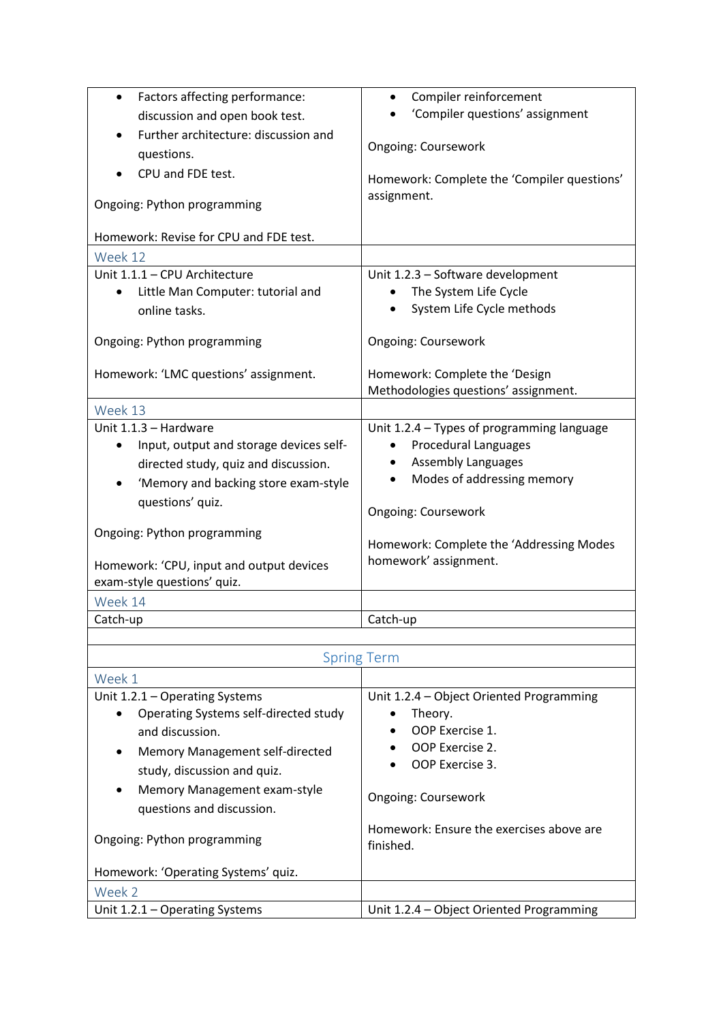| Factors affecting performance:                                          | Compiler reinforcement                      |
|-------------------------------------------------------------------------|---------------------------------------------|
| discussion and open book test.                                          | 'Compiler questions' assignment             |
| Further architecture: discussion and                                    |                                             |
| questions.                                                              | <b>Ongoing: Coursework</b>                  |
| CPU and FDE test.                                                       | Homework: Complete the 'Compiler questions' |
|                                                                         | assignment.                                 |
| Ongoing: Python programming                                             |                                             |
| Homework: Revise for CPU and FDE test.                                  |                                             |
| Week 12                                                                 |                                             |
| Unit 1.1.1 - CPU Architecture                                           | Unit 1.2.3 - Software development           |
| Little Man Computer: tutorial and                                       | The System Life Cycle                       |
| online tasks.                                                           | System Life Cycle methods                   |
|                                                                         |                                             |
| Ongoing: Python programming                                             | <b>Ongoing: Coursework</b>                  |
| Homework: 'LMC questions' assignment.                                   | Homework: Complete the 'Design              |
|                                                                         | Methodologies questions' assignment.        |
| Week 13                                                                 |                                             |
| Unit 1.1.3 - Hardware                                                   | Unit 1.2.4 - Types of programming language  |
| Input, output and storage devices self-<br>$\bullet$                    | <b>Procedural Languages</b>                 |
| directed study, quiz and discussion.                                    | <b>Assembly Languages</b>                   |
| 'Memory and backing store exam-style                                    | Modes of addressing memory                  |
| questions' quiz.                                                        |                                             |
|                                                                         | <b>Ongoing: Coursework</b>                  |
| Ongoing: Python programming                                             | Homework: Complete the 'Addressing Modes    |
|                                                                         | homework' assignment.                       |
| Homework: 'CPU, input and output devices<br>exam-style questions' quiz. |                                             |
|                                                                         |                                             |
| Week 14                                                                 |                                             |
| Catch-up                                                                | Catch-up                                    |
|                                                                         |                                             |

| <b>Spring Term</b>                                                                                                                                                                                                                                                           |                                                                                                                                                                                                     |
|------------------------------------------------------------------------------------------------------------------------------------------------------------------------------------------------------------------------------------------------------------------------------|-----------------------------------------------------------------------------------------------------------------------------------------------------------------------------------------------------|
| Week 1                                                                                                                                                                                                                                                                       |                                                                                                                                                                                                     |
| Unit 1.2.1 - Operating Systems<br>Operating Systems self-directed study<br>and discussion.<br><b>Memory Management self-directed</b><br>study, discussion and quiz.<br>Memory Management exam-style<br>$\bullet$<br>questions and discussion.<br>Ongoing: Python programming | Unit 1.2.4 – Object Oriented Programming<br>Theory.<br>OOP Exercise 1.<br>OOP Exercise 2.<br>OOP Exercise 3.<br><b>Ongoing: Coursework</b><br>Homework: Ensure the exercises above are<br>finished. |
| Homework: 'Operating Systems' quiz.                                                                                                                                                                                                                                          |                                                                                                                                                                                                     |
| Week 2                                                                                                                                                                                                                                                                       |                                                                                                                                                                                                     |
| Unit 1.2.1 - Operating Systems                                                                                                                                                                                                                                               | Unit 1.2.4 – Object Oriented Programming                                                                                                                                                            |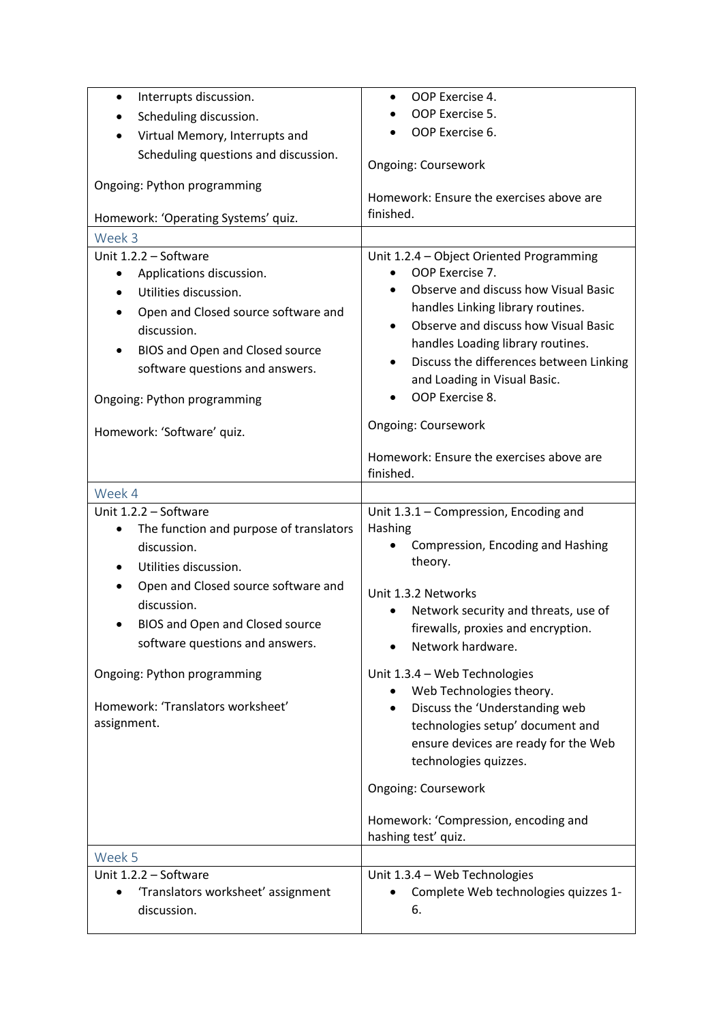| Interrupts discussion.<br>$\bullet$                  | OOP Exercise 4.                                                                      |
|------------------------------------------------------|--------------------------------------------------------------------------------------|
| Scheduling discussion.                               | OOP Exercise 5.                                                                      |
| Virtual Memory, Interrupts and                       | OOP Exercise 6.                                                                      |
| Scheduling questions and discussion.                 |                                                                                      |
|                                                      | <b>Ongoing: Coursework</b>                                                           |
| Ongoing: Python programming                          | Homework: Ensure the exercises above are                                             |
|                                                      | finished.                                                                            |
| Homework: 'Operating Systems' quiz.                  |                                                                                      |
| Week 3                                               |                                                                                      |
| Unit 1.2.2 - Software                                | Unit 1.2.4 - Object Oriented Programming                                             |
| Applications discussion.<br>$\bullet$                | OOP Exercise 7.<br>Observe and discuss how Visual Basic                              |
| Utilities discussion.                                |                                                                                      |
| Open and Closed source software and                  | handles Linking library routines.<br>Observe and discuss how Visual Basic            |
| discussion.                                          | $\bullet$<br>handles Loading library routines.                                       |
| BIOS and Open and Closed source<br>$\bullet$         |                                                                                      |
| software questions and answers.                      | Discuss the differences between Linking<br>$\bullet$<br>and Loading in Visual Basic. |
|                                                      | OOP Exercise 8.                                                                      |
| Ongoing: Python programming                          |                                                                                      |
| Homework: 'Software' quiz.                           | <b>Ongoing: Coursework</b>                                                           |
|                                                      |                                                                                      |
|                                                      | Homework: Ensure the exercises above are                                             |
|                                                      | finished.                                                                            |
| Week 4                                               |                                                                                      |
| Unit 1.2.2 - Software                                | Unit 1.3.1 - Compression, Encoding and                                               |
| The function and purpose of translators<br>$\bullet$ | Hashing                                                                              |
| discussion.                                          | Compression, Encoding and Hashing<br>theory.                                         |
| Utilities discussion.<br>$\bullet$                   |                                                                                      |
| Open and Closed source software and<br>$\bullet$     | Unit 1.3.2 Networks                                                                  |
| discussion.                                          | Network security and threats, use of                                                 |
| BIOS and Open and Closed source                      | firewalls, proxies and encryption.                                                   |
| software questions and answers.                      | Network hardware.                                                                    |
|                                                      |                                                                                      |
| Ongoing: Python programming                          | Unit 1.3.4 - Web Technologies<br>Web Technologies theory.                            |
| Homework: 'Translators worksheet'                    | Discuss the 'Understanding web                                                       |
| assignment.                                          | technologies setup' document and                                                     |
|                                                      | ensure devices are ready for the Web                                                 |
|                                                      | technologies quizzes.                                                                |
|                                                      |                                                                                      |
|                                                      | Ongoing: Coursework                                                                  |
|                                                      |                                                                                      |
|                                                      | Homework: 'Compression, encoding and<br>hashing test' quiz.                          |
| Week 5                                               |                                                                                      |
| Unit 1.2.2 - Software                                | Unit 1.3.4 - Web Technologies                                                        |
| 'Translators worksheet' assignment<br>$\bullet$      | Complete Web technologies quizzes 1-                                                 |
| discussion.                                          | 6.                                                                                   |
|                                                      |                                                                                      |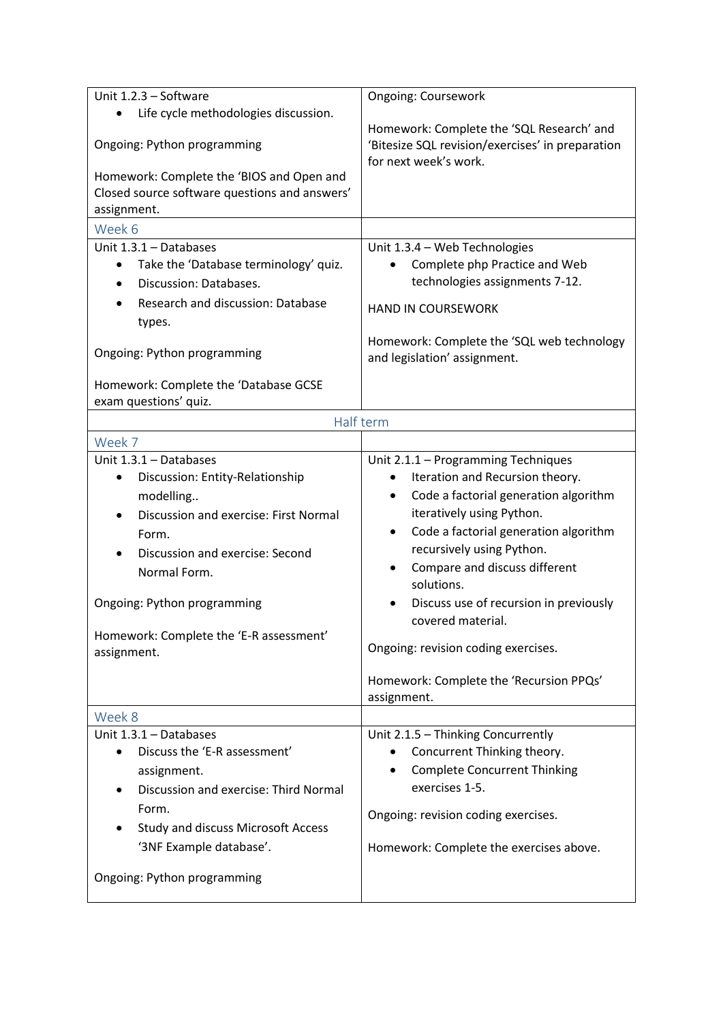| Unit 1.2.3 - Software                                                                                                                                                                                                                                                               | Ongoing: Coursework                                                                                                                                                                                                                                                                                                                                                                               |
|-------------------------------------------------------------------------------------------------------------------------------------------------------------------------------------------------------------------------------------------------------------------------------------|---------------------------------------------------------------------------------------------------------------------------------------------------------------------------------------------------------------------------------------------------------------------------------------------------------------------------------------------------------------------------------------------------|
| Life cycle methodologies discussion.                                                                                                                                                                                                                                                |                                                                                                                                                                                                                                                                                                                                                                                                   |
| Ongoing: Python programming                                                                                                                                                                                                                                                         | Homework: Complete the 'SQL Research' and<br>'Bitesize SQL revision/exercises' in preparation<br>for next week's work.                                                                                                                                                                                                                                                                            |
| Homework: Complete the 'BIOS and Open and<br>Closed source software questions and answers'<br>assignment.                                                                                                                                                                           |                                                                                                                                                                                                                                                                                                                                                                                                   |
| Week 6                                                                                                                                                                                                                                                                              |                                                                                                                                                                                                                                                                                                                                                                                                   |
| Unit $1.3.1 -$ Databases<br>Take the 'Database terminology' quiz.<br>$\bullet$<br>Discussion: Databases.<br>$\bullet$<br>Research and discussion: Database<br>types.                                                                                                                | Unit 1.3.4 - Web Technologies<br>Complete php Practice and Web<br>technologies assignments 7-12.<br><b>HAND IN COURSEWORK</b>                                                                                                                                                                                                                                                                     |
| Ongoing: Python programming                                                                                                                                                                                                                                                         | Homework: Complete the 'SQL web technology<br>and legislation' assignment.                                                                                                                                                                                                                                                                                                                        |
| Homework: Complete the 'Database GCSE<br>exam questions' quiz.                                                                                                                                                                                                                      |                                                                                                                                                                                                                                                                                                                                                                                                   |
|                                                                                                                                                                                                                                                                                     | Half term                                                                                                                                                                                                                                                                                                                                                                                         |
| Week 7                                                                                                                                                                                                                                                                              |                                                                                                                                                                                                                                                                                                                                                                                                   |
| Unit $1.3.1 -$ Databases<br>Discussion: Entity-Relationship<br>$\bullet$<br>modelling<br>Discussion and exercise: First Normal<br>Form.<br>Discussion and exercise: Second<br>Normal Form.<br>Ongoing: Python programming<br>Homework: Complete the 'E-R assessment'<br>assignment. | Unit 2.1.1 - Programming Techniques<br>Iteration and Recursion theory.<br>Code a factorial generation algorithm<br>$\bullet$<br>iteratively using Python.<br>Code a factorial generation algorithm<br>$\bullet$<br>recursively using Python.<br>Compare and discuss different<br>solutions.<br>Discuss use of recursion in previously<br>covered material.<br>Ongoing: revision coding exercises. |
|                                                                                                                                                                                                                                                                                     | Homework: Complete the 'Recursion PPQs'<br>assignment.                                                                                                                                                                                                                                                                                                                                            |
| Week 8                                                                                                                                                                                                                                                                              |                                                                                                                                                                                                                                                                                                                                                                                                   |
| Unit 1.3.1 - Databases<br>Discuss the 'E-R assessment'<br>$\bullet$<br>assignment.<br>Discussion and exercise: Third Normal<br>Form.<br><b>Study and discuss Microsoft Access</b><br>'3NF Example database'.<br>Ongoing: Python programming                                         | Unit 2.1.5 - Thinking Concurrently<br>Concurrent Thinking theory.<br><b>Complete Concurrent Thinking</b><br>exercises 1-5.<br>Ongoing: revision coding exercises.<br>Homework: Complete the exercises above.                                                                                                                                                                                      |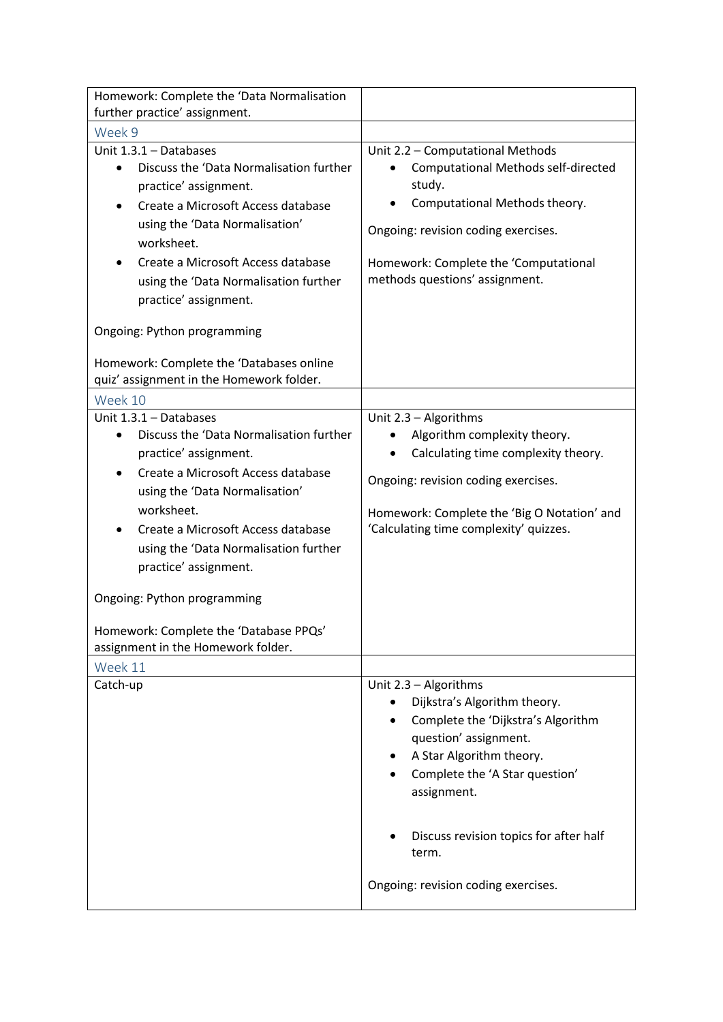| Homework: Complete the 'Data Normalisation<br>further practice' assignment.                                                                                                                                                                                                                                                                                                                                                     |                                                                                                                                                                                                                                                                                             |
|---------------------------------------------------------------------------------------------------------------------------------------------------------------------------------------------------------------------------------------------------------------------------------------------------------------------------------------------------------------------------------------------------------------------------------|---------------------------------------------------------------------------------------------------------------------------------------------------------------------------------------------------------------------------------------------------------------------------------------------|
| Week 9                                                                                                                                                                                                                                                                                                                                                                                                                          |                                                                                                                                                                                                                                                                                             |
| Unit 1.3.1 - Databases<br>Discuss the 'Data Normalisation further<br>practice' assignment.<br>Create a Microsoft Access database<br>using the 'Data Normalisation'<br>worksheet.<br>Create a Microsoft Access database<br>using the 'Data Normalisation further<br>practice' assignment.<br>Ongoing: Python programming<br>Homework: Complete the 'Databases online                                                             | Unit 2.2 - Computational Methods<br><b>Computational Methods self-directed</b><br>study.<br>Computational Methods theory.<br>Ongoing: revision coding exercises.<br>Homework: Complete the 'Computational<br>methods questions' assignment.                                                 |
| quiz' assignment in the Homework folder.                                                                                                                                                                                                                                                                                                                                                                                        |                                                                                                                                                                                                                                                                                             |
| Week 10<br>Unit 1.3.1 - Databases<br>Discuss the 'Data Normalisation further<br>$\bullet$<br>practice' assignment.<br>Create a Microsoft Access database<br>using the 'Data Normalisation'<br>worksheet.<br>Create a Microsoft Access database<br>using the 'Data Normalisation further<br>practice' assignment.<br>Ongoing: Python programming<br>Homework: Complete the 'Database PPQs'<br>assignment in the Homework folder. | Unit 2.3 - Algorithms<br>Algorithm complexity theory.<br>Calculating time complexity theory.<br>Ongoing: revision coding exercises.<br>Homework: Complete the 'Big O Notation' and<br>'Calculating time complexity' quizzes.                                                                |
| Week 11                                                                                                                                                                                                                                                                                                                                                                                                                         |                                                                                                                                                                                                                                                                                             |
| Catch-up                                                                                                                                                                                                                                                                                                                                                                                                                        | Unit 2.3 - Algorithms<br>Dijkstra's Algorithm theory.<br>Complete the 'Dijkstra's Algorithm<br>question' assignment.<br>A Star Algorithm theory.<br>Complete the 'A Star question'<br>assignment.<br>Discuss revision topics for after half<br>term.<br>Ongoing: revision coding exercises. |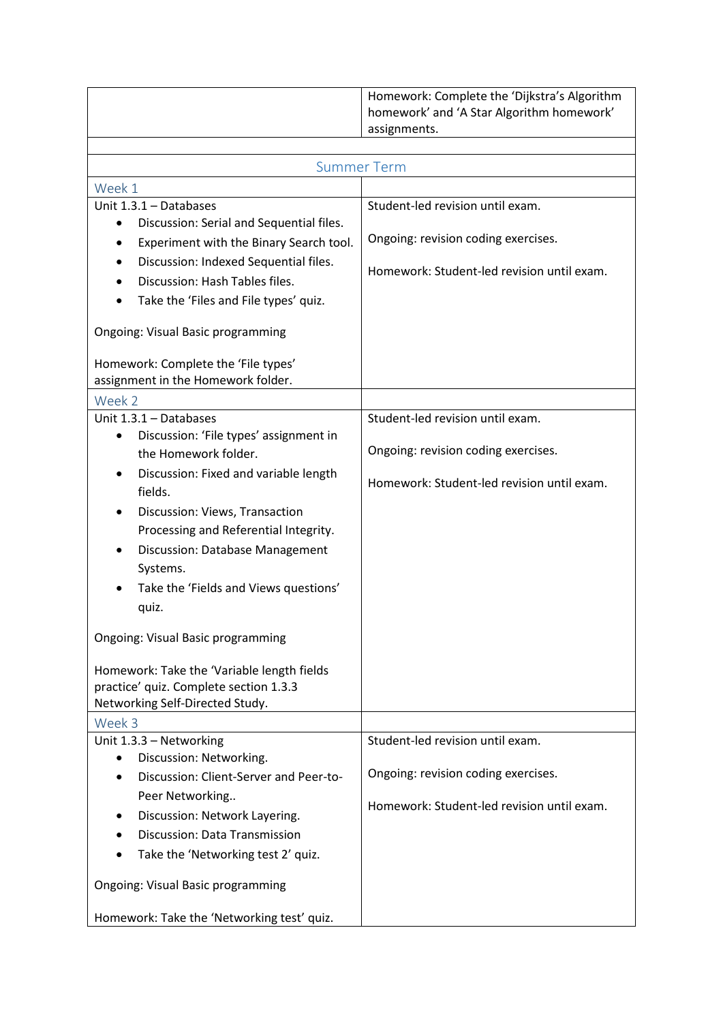| Homework: Complete the 'Dijkstra's Algorithm<br>homework' and 'A Star Algorithm homework'<br>assignments. |
|-----------------------------------------------------------------------------------------------------------|
|                                                                                                           |
|                                                                                                           |
|                                                                                                           |

|                                                       | <b>Summer Term</b>                         |
|-------------------------------------------------------|--------------------------------------------|
| Week 1                                                |                                            |
| Unit 1.3.1 - Databases                                | Student-led revision until exam.           |
| Discussion: Serial and Sequential files.<br>$\bullet$ |                                            |
| Experiment with the Binary Search tool.               | Ongoing: revision coding exercises.        |
| Discussion: Indexed Sequential files.                 | Homework: Student-led revision until exam. |
| Discussion: Hash Tables files.                        |                                            |
| Take the 'Files and File types' quiz.                 |                                            |
| <b>Ongoing: Visual Basic programming</b>              |                                            |
| Homework: Complete the 'File types'                   |                                            |
| assignment in the Homework folder.                    |                                            |
| Week 2                                                |                                            |
| Unit 1.3.1 - Databases                                | Student-led revision until exam.           |
| Discussion: 'File types' assignment in<br>٠           |                                            |
| the Homework folder.                                  | Ongoing: revision coding exercises.        |
| Discussion: Fixed and variable length<br>fields.      | Homework: Student-led revision until exam. |
| Discussion: Views, Transaction                        |                                            |
| Processing and Referential Integrity.                 |                                            |
| Discussion: Database Management                       |                                            |
| Systems.                                              |                                            |
| Take the 'Fields and Views questions'                 |                                            |
| quiz.                                                 |                                            |
| <b>Ongoing: Visual Basic programming</b>              |                                            |
| Homework: Take the 'Variable length fields            |                                            |
| practice' quiz. Complete section 1.3.3                |                                            |
| Networking Self-Directed Study.                       |                                            |
| Week 3                                                |                                            |
| Unit 1.3.3 - Networking                               | Student-led revision until exam.           |
| Discussion: Networking.<br>$\bullet$                  | Ongoing: revision coding exercises.        |
| Discussion: Client-Server and Peer-to-                |                                            |
| Peer Networking                                       | Homework: Student-led revision until exam. |
| Discussion: Network Layering.                         |                                            |
| Discussion: Data Transmission                         |                                            |
| Take the 'Networking test 2' quiz.                    |                                            |
| <b>Ongoing: Visual Basic programming</b>              |                                            |
| Homework: Take the 'Networking test' quiz.            |                                            |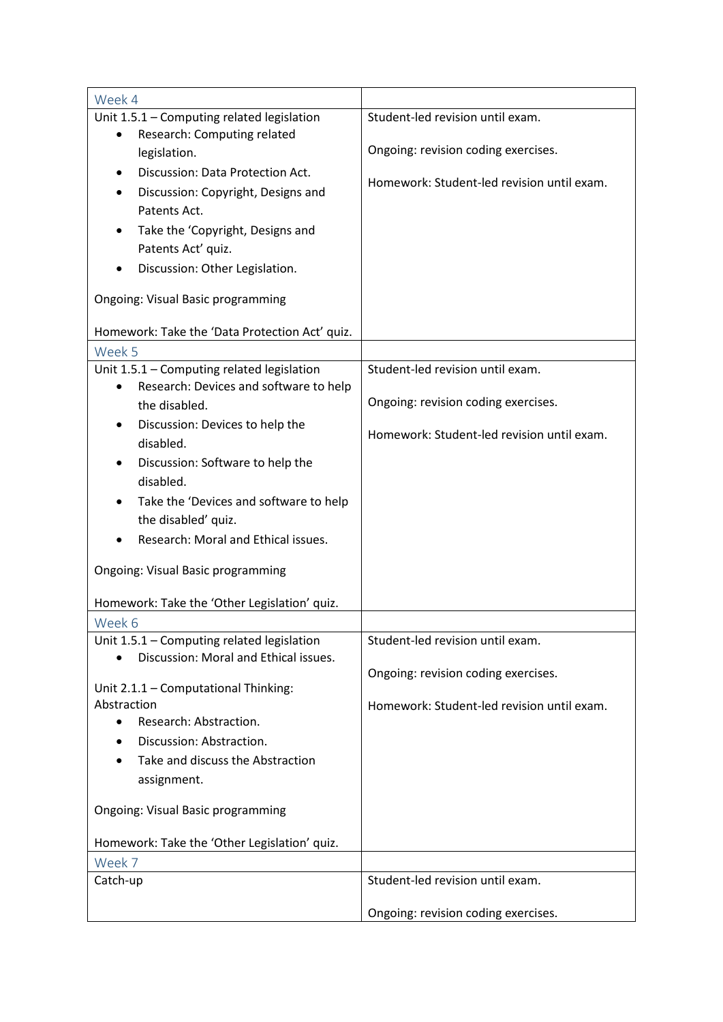| Week 4                                                 |                                            |
|--------------------------------------------------------|--------------------------------------------|
| Unit 1.5.1 - Computing related legislation             | Student-led revision until exam.           |
| Research: Computing related<br>$\bullet$               |                                            |
| legislation.                                           | Ongoing: revision coding exercises.        |
| Discussion: Data Protection Act.                       |                                            |
| Discussion: Copyright, Designs and                     | Homework: Student-led revision until exam. |
| Patents Act.                                           |                                            |
| Take the 'Copyright, Designs and                       |                                            |
| Patents Act' quiz.                                     |                                            |
| Discussion: Other Legislation.                         |                                            |
|                                                        |                                            |
| Ongoing: Visual Basic programming                      |                                            |
| Homework: Take the 'Data Protection Act' quiz.         |                                            |
| Week 5                                                 |                                            |
| Unit 1.5.1 - Computing related legislation             | Student-led revision until exam.           |
| Research: Devices and software to help                 | Ongoing: revision coding exercises.        |
| the disabled.                                          |                                            |
| Discussion: Devices to help the<br>disabled.           | Homework: Student-led revision until exam. |
| Discussion: Software to help the                       |                                            |
| disabled.                                              |                                            |
| Take the 'Devices and software to help                 |                                            |
| the disabled' quiz.                                    |                                            |
| Research: Moral and Ethical issues.                    |                                            |
|                                                        |                                            |
| <b>Ongoing: Visual Basic programming</b>               |                                            |
|                                                        |                                            |
| Homework: Take the 'Other Legislation' quiz.<br>Week 6 |                                            |
| Unit 1.5.1 - Computing related legislation             | Student-led revision until exam.           |
| Discussion: Moral and Ethical issues.                  |                                            |
|                                                        | Ongoing: revision coding exercises.        |
| Unit 2.1.1 - Computational Thinking:                   |                                            |
| Abstraction                                            | Homework: Student-led revision until exam. |
| Research: Abstraction.<br>$\bullet$                    |                                            |
| Discussion: Abstraction.                               |                                            |
| Take and discuss the Abstraction                       |                                            |
| assignment.                                            |                                            |
|                                                        |                                            |
| <b>Ongoing: Visual Basic programming</b>               |                                            |
| Homework: Take the 'Other Legislation' quiz.           |                                            |
| Week 7                                                 |                                            |
| Catch-up                                               | Student-led revision until exam.           |
|                                                        |                                            |
|                                                        | Ongoing: revision coding exercises.        |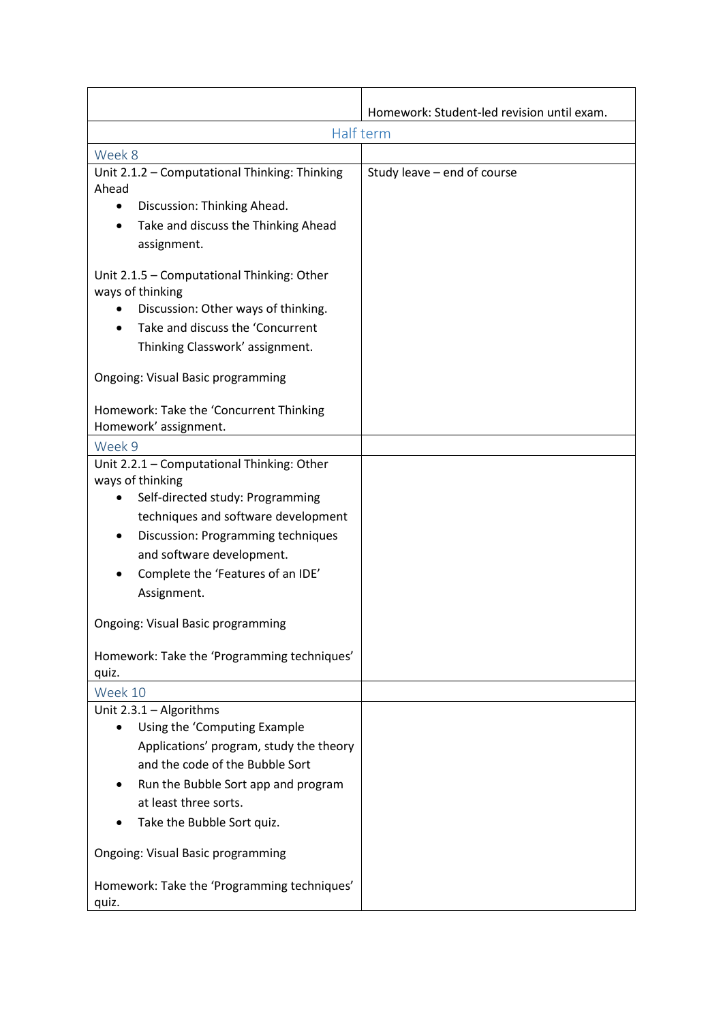|                                                                                                                                                                              | Homework: Student-led revision until exam. |
|------------------------------------------------------------------------------------------------------------------------------------------------------------------------------|--------------------------------------------|
|                                                                                                                                                                              | Half term                                  |
| Week 8                                                                                                                                                                       |                                            |
| Unit 2.1.2 - Computational Thinking: Thinking<br>Ahead                                                                                                                       | Study leave - end of course                |
| Discussion: Thinking Ahead.<br>٠                                                                                                                                             |                                            |
| Take and discuss the Thinking Ahead<br>$\bullet$<br>assignment.                                                                                                              |                                            |
| Unit 2.1.5 - Computational Thinking: Other<br>ways of thinking<br>Discussion: Other ways of thinking.<br>Take and discuss the 'Concurrent<br>Thinking Classwork' assignment. |                                            |
| Ongoing: Visual Basic programming                                                                                                                                            |                                            |
| Homework: Take the 'Concurrent Thinking<br>Homework' assignment.                                                                                                             |                                            |
| Week 9                                                                                                                                                                       |                                            |
| Unit 2.2.1 - Computational Thinking: Other<br>ways of thinking                                                                                                               |                                            |
| Self-directed study: Programming<br>٠                                                                                                                                        |                                            |
| techniques and software development                                                                                                                                          |                                            |
| Discussion: Programming techniques<br>$\bullet$                                                                                                                              |                                            |
| and software development.                                                                                                                                                    |                                            |
| Complete the 'Features of an IDE'                                                                                                                                            |                                            |
| Assignment.                                                                                                                                                                  |                                            |
| <b>Ongoing: Visual Basic programming</b>                                                                                                                                     |                                            |
| Homework: Take the 'Programming techniques'<br>quiz.                                                                                                                         |                                            |
| Week 10                                                                                                                                                                      |                                            |
| Unit 2.3.1 - Algorithms                                                                                                                                                      |                                            |
| Using the 'Computing Example                                                                                                                                                 |                                            |
| Applications' program, study the theory                                                                                                                                      |                                            |
| and the code of the Bubble Sort                                                                                                                                              |                                            |
| Run the Bubble Sort app and program                                                                                                                                          |                                            |
| at least three sorts.                                                                                                                                                        |                                            |
| Take the Bubble Sort quiz.                                                                                                                                                   |                                            |
| Ongoing: Visual Basic programming                                                                                                                                            |                                            |
| Homework: Take the 'Programming techniques'<br>quiz.                                                                                                                         |                                            |